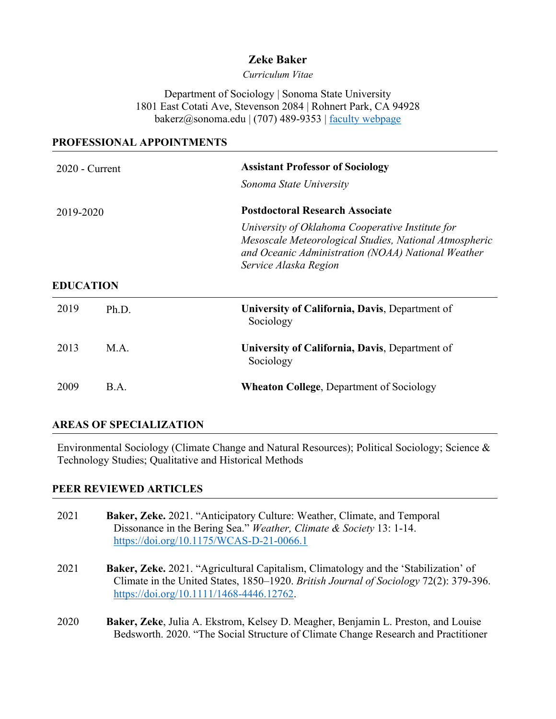# **Zeke Baker**

*Curriculum Vitae*

Department of Sociology | Sonoma State University 1801 East Cotati Ave, Stevenson 2084 | Rohnert Park, CA 94928 bakerz@sonoma.edu | (707) 489-9353 | [faculty webpage](http://sociology.sonoma.edu/faculty-staff/zeke-baker-phd)

#### **PROFESSIONAL APPOINTMENTS**

| $2020$ - Current |       | <b>Assistant Professor of Sociology</b><br>Sonoma State University                                                                                                                                                                  |
|------------------|-------|-------------------------------------------------------------------------------------------------------------------------------------------------------------------------------------------------------------------------------------|
| 2019-2020        |       | <b>Postdoctoral Research Associate</b><br>University of Oklahoma Cooperative Institute for<br>Mesoscale Meteorological Studies, National Atmospheric<br>and Oceanic Administration (NOAA) National Weather<br>Service Alaska Region |
| <b>EDUCATION</b> |       |                                                                                                                                                                                                                                     |
| 2019             | Ph.D. | University of California, Davis, Department of<br>Sociology                                                                                                                                                                         |
| 2013             | M.A.  | University of California, Davis, Department of<br>Sociology                                                                                                                                                                         |
| 2009             | B.A.  | <b>Wheaton College, Department of Sociology</b>                                                                                                                                                                                     |

## **AREAS OF SPECIALIZATION**

Environmental Sociology (Climate Change and Natural Resources); Political Sociology; Science & Technology Studies; Qualitative and Historical Methods

#### **PEER REVIEWED ARTICLES**

| 2021 | Baker, Zeke. 2021. "Anticipatory Culture: Weather, Climate, and Temporal<br>Dissonance in the Bering Sea." Weather, Climate & Society 13: 1-14.<br>https://doi.org/10.1175/WCAS-D-21-0066.1                                     |
|------|---------------------------------------------------------------------------------------------------------------------------------------------------------------------------------------------------------------------------------|
| 2021 | <b>Baker, Zeke.</b> 2021. "Agricultural Capitalism, Climatology and the 'Stabilization' of<br>Climate in the United States, 1850–1920. British Journal of Sociology 72(2): 379-396.<br>https://doi.org/10.1111/1468-4446.12762. |
| 2020 | Baker, Zeke, Julia A. Ekstrom, Kelsey D. Meagher, Benjamin L. Preston, and Louise<br>Bedsworth. 2020. "The Social Structure of Climate Change Research and Practitioner                                                         |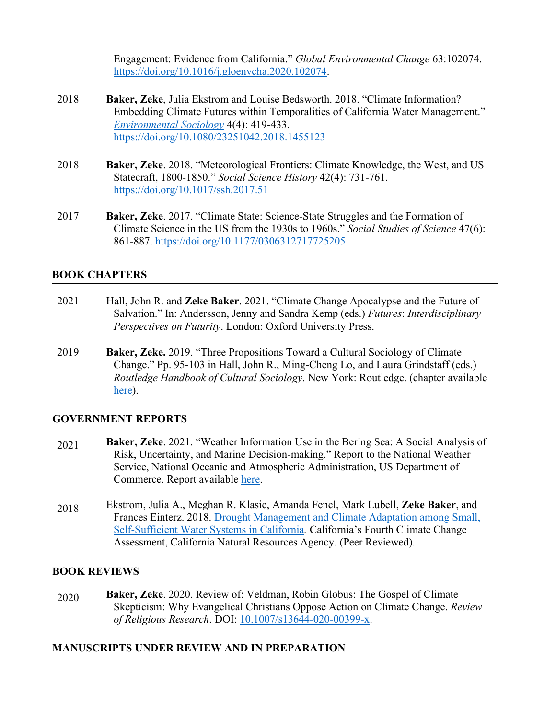Engagement: Evidence from California." *Global Environmental Change* 63:102074. [https://doi.org/10.1016/j.gloenvcha.2020.102074.](https://doi.org/10.1016/j.gloenvcha.2020.102074)

- 2018 **Baker, Zeke**, Julia Ekstrom and Louise Bedsworth. 2018. "Climate Information? Embedding Climate Futures within Temporalities of California Water Management." *[Environmental Sociology](https://www.tandfonline.com/doi/abs/10.1080/23251042.2018.1455123)* 4(4): 419-433. <https://doi.org/10.1080/23251042.2018.1455123>
- 2018 **Baker, Zeke**. 2018. "Meteorological Frontiers: Climate Knowledge, the West, and US Statecraft, 1800-1850." *Social Science History* 42(4): 731-761. <https://doi.org/10.1017/ssh.2017.51>
- 2017 **Baker, Zeke**. 2017. "Climate State: Science-State Struggles and the Formation of Climate Science in the US from the 1930s to 1960s." *Social Studies of Science* 47(6): 861-887. [https://doi.org/10.1177/0306312717725205](https://doi.org/10.1177%2F0306312717725205)

#### **BOOK CHAPTERS**

- 2021 Hall, John R. and **Zeke Baker**. 2021. "Climate Change Apocalypse and the Future of Salvation." In: Andersson, Jenny and Sandra Kemp (eds.) *Futures*: *Interdisciplinary Perspectives on Futurity*. London: Oxford University Press.
- 2019 **Baker, Zeke.** 2019. "Three Propositions Toward a Cultural Sociology of Climate Change." Pp. 95-103 in Hall, John R., Ming-Cheng Lo, and Laura Grindstaff (eds.) *Routledge Handbook of Cultural Sociology*. New York: Routledge. (chapter available [here\)](https://docs.wixstatic.com/ugd/5e72ac_87cbf3bc5b1747298ddd20ed2143c787.pdf).

#### **GOVERNMENT REPORTS**

- 2021 **Baker, Zeke**. 2021. "Weather Information Use in the Bering Sea: A Social Analysis of Risk, Uncertainty, and Marine Decision-making." Report to the National Weather Service, National Oceanic and Atmospheric Administration, US Department of Commerce. Report available [here.](https://5e72ac20-548d-49d7-a230-4d3202155558.usrfiles.com/ugd/5e72ac_3784c93666ac4e7fa2127b636e60d101.pdf)
- 2018 Ekstrom, Julia A., Meghan R. Klasic, Amanda Fencl, Mark Lubell, **Zeke Baker**, and Frances Einterz. 2018. [Drought Management and Climate Adaptation among Small,](http://www.climateassessment.ca.gov/techreports/docs/20180827-Water_CCCA4-CNRA-2018-004.pdf)  [Self-Sufficient Water Systems in California](http://www.climateassessment.ca.gov/techreports/docs/20180827-Water_CCCA4-CNRA-2018-004.pdf)*.* California's Fourth Climate Change Assessment, California Natural Resources Agency. (Peer Reviewed).

#### **BOOK REVIEWS**

2020 **Baker, Zeke**. 2020. Review of: Veldman, Robin Globus: The Gospel of Climate Skepticism: Why Evangelical Christians Oppose Action on Climate Change. *Review of Religious Research*. DOI: [10.1007/s13644-020-00399-x.](https://doi.org/10.1007/s13644-020-00399-x)

#### **MANUSCRIPTS UNDER REVIEW AND IN PREPARATION**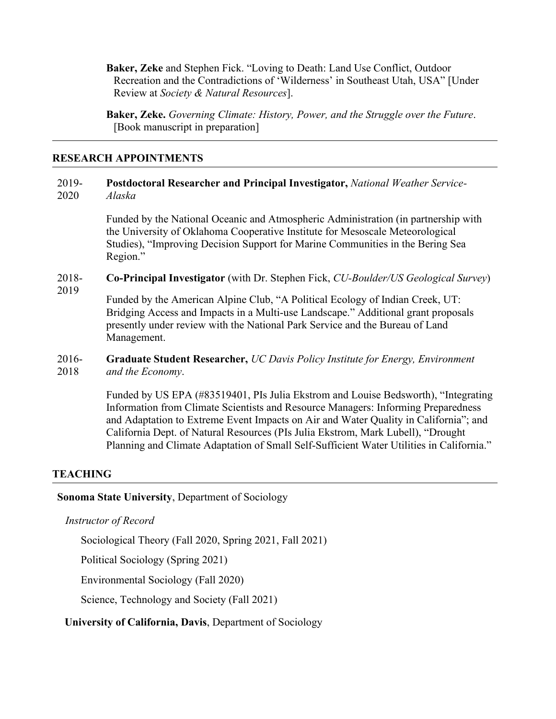**Baker, Zeke** and Stephen Fick. "Loving to Death: Land Use Conflict, Outdoor Recreation and the Contradictions of 'Wilderness' in Southeast Utah, USA" [Under Review at *Society & Natural Resources*].

**Baker, Zeke.** *Governing Climate: History, Power, and the Struggle over the Future*. [Book manuscript in preparation]

#### **RESEARCH APPOINTMENTS**

#### 2019- 2020 **Postdoctoral Researcher and Principal Investigator,** *National Weather Service-Alaska*

Funded by the National Oceanic and Atmospheric Administration (in partnership with the University of Oklahoma Cooperative Institute for Mesoscale Meteorological Studies), "Improving Decision Support for Marine Communities in the Bering Sea Region."

#### 2018- **Co-Principal Investigator** (with Dr. Stephen Fick, *CU-Boulder/US Geological Survey*)

2019

Funded by the American Alpine Club, "A Political Ecology of Indian Creek, UT: Bridging Access and Impacts in a Multi-use Landscape." Additional grant proposals presently under review with the National Park Service and the Bureau of Land Management.

#### 2016- 2018 **Graduate Student Researcher,** *UC Davis Policy Institute for Energy, Environment and the Economy*.

Funded by US EPA (#83519401, PIs Julia Ekstrom and Louise Bedsworth), "Integrating Information from Climate Scientists and Resource Managers: Informing Preparedness and Adaptation to Extreme Event Impacts on Air and Water Quality in California"; and California Dept. of Natural Resources (PIs Julia Ekstrom, Mark Lubell), "Drought Planning and Climate Adaptation of Small Self-Sufficient Water Utilities in California."

## **TEACHING**

## **Sonoma State University**, Department of Sociology

#### *Instructor of Record*

Sociological Theory (Fall 2020, Spring 2021, Fall 2021)

Political Sociology (Spring 2021)

Environmental Sociology (Fall 2020)

Science, Technology and Society (Fall 2021)

## **University of California, Davis**, Department of Sociology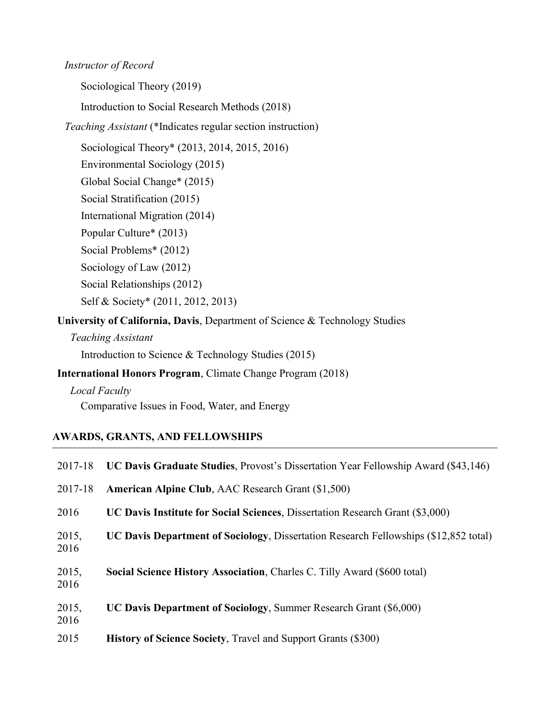#### *Instructor of Record*

Sociological Theory (2019)

Introduction to Social Research Methods (2018)

*Teaching Assistant* (\*Indicates regular section instruction)

Sociological Theory\* (2013, 2014, 2015, 2016)

Environmental Sociology (2015)

Global Social Change\* (2015)

Social Stratification (2015)

International Migration (2014)

Popular Culture\* (2013)

Social Problems\* (2012)

Sociology of Law (2012)

Social Relationships (2012)

Self & Society\* (2011, 2012, 2013)

**University of California, Davis**, Department of Science & Technology Studies

*Teaching Assistant*

Introduction to Science & Technology Studies (2015)

**International Honors Program**, Climate Change Program (2018)

*Local Faculty*

Comparative Issues in Food, Water, and Energy

## **AWARDS, GRANTS, AND FELLOWSHIPS**

| 2017-18       | UC Davis Graduate Studies, Provost's Dissertation Year Fellowship Award (\$43,146)   |
|---------------|--------------------------------------------------------------------------------------|
| 2017-18       | <b>American Alpine Club, AAC Research Grant (\$1,500)</b>                            |
| 2016          | UC Davis Institute for Social Sciences, Dissertation Research Grant (\$3,000)        |
| 2015,<br>2016 | UC Davis Department of Sociology, Dissertation Research Fellowships (\$12,852 total) |
| 2015,<br>2016 | Social Science History Association, Charles C. Tilly Award (\$600 total)             |
| 2015,<br>2016 | UC Davis Department of Sociology, Summer Research Grant (\$6,000)                    |
| 2015          | <b>History of Science Society, Travel and Support Grants (\$300)</b>                 |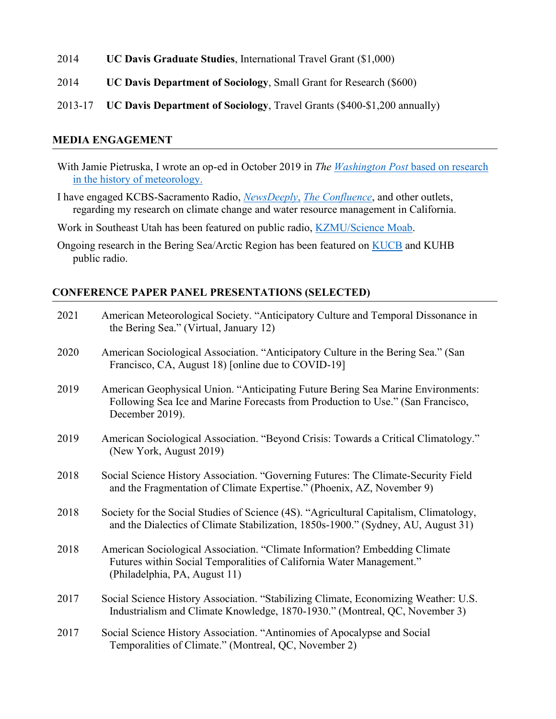- 2014 **UC Davis Graduate Studies**, International Travel Grant (\$1,000)
- 2014 **UC Davis Department of Sociology**, Small Grant for Research (\$600)
- 2013-17 **UC Davis Department of Sociology**, Travel Grants (\$400-\$1,200 annually)

#### **MEDIA ENGAGEMENT**

- With Jamie Pietruska, I wrote an op-ed in October 2019 in *The [Washington Post](https://www.washingtonpost.com/outlook/2019/10/17/should-we-talk-about-weather-should-we-talk-about-government/)* based on research in the history of meteorology.
- I have engaged KCBS-Sacramento Radio, *[NewsDeeply](https://www.newsdeeply.com/water/community/2018/09/06/why-some-water-managers-are-unprepared-for-climate-change)*, *[The Confluence](http://ucanr.edu/blogs/blogcore/postdetail.cfm?postnum=26794)*, and other outlets, regarding my research on climate change and water resource management in California.
- Work in Southeast Utah has been featured on public radio, **KZMU/Science Moab**.
- Ongoing research in the Bering Sea/Arctic Region has been featured on [KUCB](https://www.kucb.org/) and KUHB public radio.

#### **CONFERENCE PAPER PANEL PRESENTATIONS (SELECTED)**

| 2021 | American Meteorological Society. "Anticipatory Culture and Temporal Dissonance in<br>the Bering Sea." (Virtual, January 12)                                                            |
|------|----------------------------------------------------------------------------------------------------------------------------------------------------------------------------------------|
| 2020 | American Sociological Association. "Anticipatory Culture in the Bering Sea." (San<br>Francisco, CA, August 18) [online due to COVID-19]                                                |
| 2019 | American Geophysical Union. "Anticipating Future Bering Sea Marine Environments:<br>Following Sea Ice and Marine Forecasts from Production to Use." (San Francisco,<br>December 2019). |
| 2019 | American Sociological Association. "Beyond Crisis: Towards a Critical Climatology."<br>(New York, August 2019)                                                                         |
| 2018 | Social Science History Association. "Governing Futures: The Climate-Security Field<br>and the Fragmentation of Climate Expertise." (Phoenix, AZ, November 9)                           |
| 2018 | Society for the Social Studies of Science (4S). "Agricultural Capitalism, Climatology,<br>and the Dialectics of Climate Stabilization, 1850s-1900." (Sydney, AU, August 31)            |
| 2018 | American Sociological Association. "Climate Information? Embedding Climate<br>Futures within Social Temporalities of California Water Management."<br>(Philadelphia, PA, August 11)    |
| 2017 | Social Science History Association. "Stabilizing Climate, Economizing Weather: U.S.<br>Industrialism and Climate Knowledge, 1870-1930." (Montreal, QC, November 3)                     |
| 2017 | Social Science History Association. "Antinomies of Apocalypse and Social<br>Temporalities of Climate." (Montreal, QC, November 2)                                                      |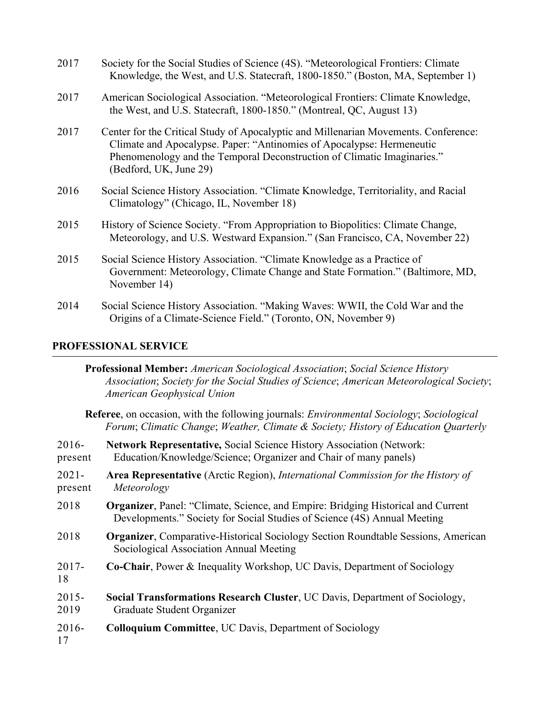| 2017 | Society for the Social Studies of Science (4S). "Meteorological Frontiers: Climate<br>Knowledge, the West, and U.S. Statecraft, 1800-1850." (Boston, MA, September 1)                                                                                             |
|------|-------------------------------------------------------------------------------------------------------------------------------------------------------------------------------------------------------------------------------------------------------------------|
| 2017 | American Sociological Association. "Meteorological Frontiers: Climate Knowledge,<br>the West, and U.S. Statecraft, 1800-1850." (Montreal, QC, August 13)                                                                                                          |
| 2017 | Center for the Critical Study of Apocalyptic and Millenarian Movements. Conference:<br>Climate and Apocalypse. Paper: "Antinomies of Apocalypse: Hermeneutic<br>Phenomenology and the Temporal Deconstruction of Climatic Imaginaries."<br>(Bedford, UK, June 29) |
| 2016 | Social Science History Association. "Climate Knowledge, Territoriality, and Racial<br>Climatology" (Chicago, IL, November 18)                                                                                                                                     |
| 2015 | History of Science Society. "From Appropriation to Biopolitics: Climate Change,<br>Meteorology, and U.S. Westward Expansion." (San Francisco, CA, November 22)                                                                                                    |
| 2015 | Social Science History Association. "Climate Knowledge as a Practice of<br>Government: Meteorology, Climate Change and State Formation." (Baltimore, MD,<br>November 14)                                                                                          |
| 2014 | Social Science History Association. "Making Waves: WWII, the Cold War and the<br>Origins of a Climate-Science Field." (Toronto, ON, November 9)                                                                                                                   |

# **PROFESSIONAL SERVICE**

|                                                                                                                                                                                                       | Professional Member: American Sociological Association; Social Science History<br>Association; Society for the Social Studies of Science; American Meteorological Society;<br>American Geophysical Union |
|-------------------------------------------------------------------------------------------------------------------------------------------------------------------------------------------------------|----------------------------------------------------------------------------------------------------------------------------------------------------------------------------------------------------------|
| <b>Referee</b> , on occasion, with the following journals: <i>Environmental Sociology</i> ; <i>Sociological</i><br>Forum; Climatic Change; Weather, Climate & Society; History of Education Quarterly |                                                                                                                                                                                                          |
| $2016-$<br>present                                                                                                                                                                                    | <b>Network Representative, Social Science History Association (Network:</b><br>Education/Knowledge/Science; Organizer and Chair of many panels)                                                          |
| $2021 -$<br>present                                                                                                                                                                                   | <b>Area Representative</b> (Arctic Region), <i>International Commission for the History of</i><br>Meteorology                                                                                            |
| 2018                                                                                                                                                                                                  | <b>Organizer, Panel: "Climate, Science, and Empire: Bridging Historical and Current</b><br>Developments." Society for Social Studies of Science (4S) Annual Meeting                                      |
| 2018                                                                                                                                                                                                  | <b>Organizer, Comparative-Historical Sociology Section Roundtable Sessions, American</b><br>Sociological Association Annual Meeting                                                                      |
| $2017 -$<br>18                                                                                                                                                                                        | <b>Co-Chair, Power &amp; Inequality Workshop, UC Davis, Department of Sociology</b>                                                                                                                      |
| $2015 -$<br>2019                                                                                                                                                                                      | Social Transformations Research Cluster, UC Davis, Department of Sociology,<br>Graduate Student Organizer                                                                                                |
| $2016 -$<br>17                                                                                                                                                                                        | <b>Colloquium Committee, UC Davis, Department of Sociology</b>                                                                                                                                           |